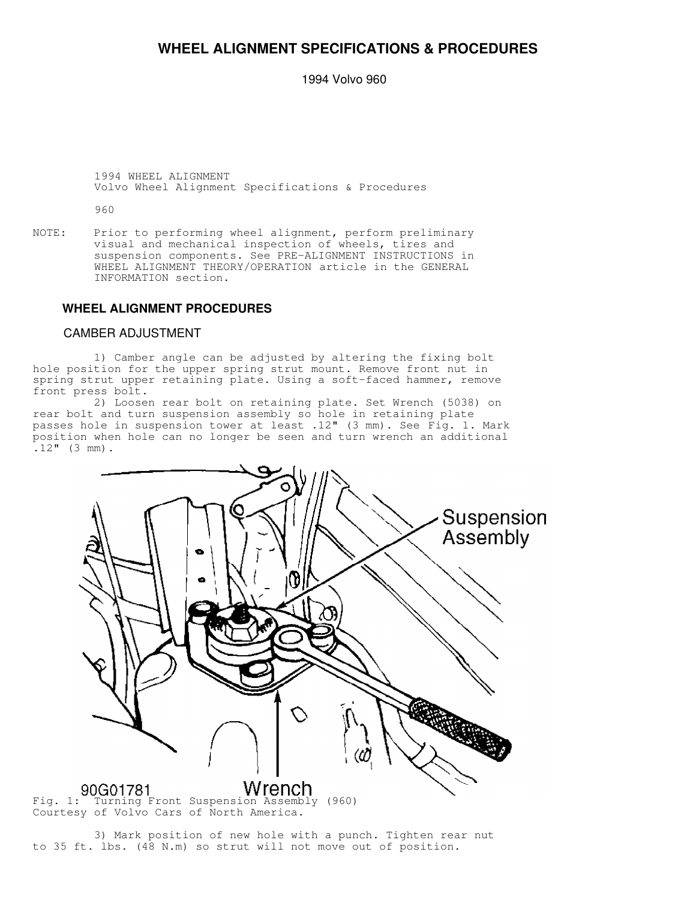# **WHEEL ALIGNMENT SPECIFICATIONS & PROCEDURES**

1994 Volvo 960

 1994 WHEEL ALIGNMENT Volvo Wheel Alignment Specifications & Procedures

960

NOTE: Prior to performing wheel alignment, perform preliminary visual and mechanical inspection of wheels, tires and suspension components. See PRE-ALIGNMENT INSTRUCTIONS in WHEEL ALIGNMENT THEORY/OPERATION article in the GENERAL INFORMATION section.

#### **WHEEL ALIGNMENT PROCEDURES**

#### CAMBER ADJUSTMENT

 1) Camber angle can be adjusted by altering the fixing bolt hole position for the upper spring strut mount. Remove front nut in spring strut upper retaining plate. Using a soft-faced hammer, remove front press bolt.

 2) Loosen rear bolt on retaining plate. Set Wrench (5038) on rear bolt and turn suspension assembly so hole in retaining plate passes hole in suspension tower at least .12" (3 mm). See Fig. 1. Mark position when hole can no longer be seen and turn wrench an additional  $.12$ " (3 mm).



Courtesy of Volvo Cars of North America.

 3) Mark position of new hole with a punch. Tighten rear nut to 35 ft. lbs. (48 N.m) so strut will not move out of position.